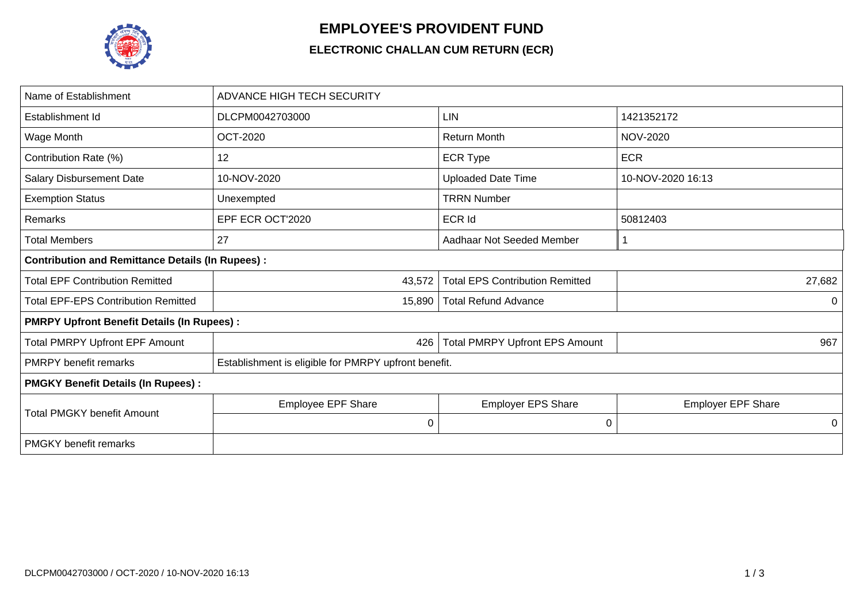

## **EMPLOYEE'S PROVIDENT FUND**

## **ELECTRONIC CHALLAN CUM RETURN (ECR)**

| Name of Establishment                                   | <b>ADVANCE HIGH TECH SECURITY</b>                    |                                        |                           |  |  |  |  |  |
|---------------------------------------------------------|------------------------------------------------------|----------------------------------------|---------------------------|--|--|--|--|--|
| Establishment Id                                        | DLCPM0042703000                                      | LIN                                    | 1421352172                |  |  |  |  |  |
| Wage Month                                              | <b>OCT-2020</b>                                      | <b>Return Month</b>                    | <b>NOV-2020</b>           |  |  |  |  |  |
| Contribution Rate (%)                                   | 12                                                   | <b>ECR Type</b>                        | <b>ECR</b>                |  |  |  |  |  |
| <b>Salary Disbursement Date</b>                         | 10-NOV-2020                                          | <b>Uploaded Date Time</b>              | 10-NOV-2020 16:13         |  |  |  |  |  |
| <b>Exemption Status</b>                                 | Unexempted                                           | <b>TRRN Number</b>                     |                           |  |  |  |  |  |
| Remarks                                                 | EPF ECR OCT'2020                                     | <b>ECR Id</b>                          | 50812403                  |  |  |  |  |  |
| <b>Total Members</b>                                    | 27                                                   | Aadhaar Not Seeded Member              |                           |  |  |  |  |  |
| <b>Contribution and Remittance Details (In Rupees):</b> |                                                      |                                        |                           |  |  |  |  |  |
| <b>Total EPF Contribution Remitted</b>                  | 43,572                                               | <b>Total EPS Contribution Remitted</b> | 27,682                    |  |  |  |  |  |
| <b>Total EPF-EPS Contribution Remitted</b>              | 15,890                                               | <b>Total Refund Advance</b>            | 0                         |  |  |  |  |  |
| <b>PMRPY Upfront Benefit Details (In Rupees):</b>       |                                                      |                                        |                           |  |  |  |  |  |
| <b>Total PMRPY Upfront EPF Amount</b>                   | 426                                                  | <b>Total PMRPY Upfront EPS Amount</b>  | 967                       |  |  |  |  |  |
| <b>PMRPY</b> benefit remarks                            | Establishment is eligible for PMRPY upfront benefit. |                                        |                           |  |  |  |  |  |
| <b>PMGKY Benefit Details (In Rupees):</b>               |                                                      |                                        |                           |  |  |  |  |  |
| <b>Total PMGKY benefit Amount</b>                       | Employee EPF Share                                   | <b>Employer EPS Share</b>              | <b>Employer EPF Share</b> |  |  |  |  |  |
|                                                         | 0                                                    | 0                                      | 0                         |  |  |  |  |  |
| <b>PMGKY</b> benefit remarks                            |                                                      |                                        |                           |  |  |  |  |  |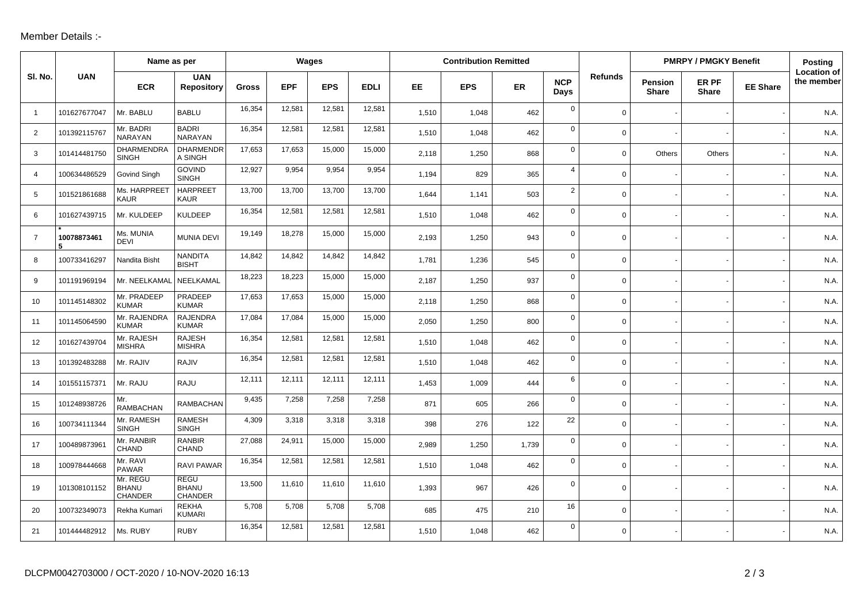## Member Details :-

|                |              | Name as per                                |                                        | Wages  |            |            | <b>Contribution Remitted</b> |       |            |           |                    | <b>PMRPY / PMGKY Benefit</b> |                                |                       | <b>Posting</b>  |                                  |
|----------------|--------------|--------------------------------------------|----------------------------------------|--------|------------|------------|------------------------------|-------|------------|-----------|--------------------|------------------------------|--------------------------------|-----------------------|-----------------|----------------------------------|
| SI. No.        | <b>UAN</b>   | <b>ECR</b>                                 | <b>UAN</b><br><b>Repository</b>        | Gross  | <b>EPF</b> | <b>EPS</b> | <b>EDLI</b>                  | EE.   | <b>EPS</b> | <b>ER</b> | <b>NCP</b><br>Days | <b>Refunds</b>               | <b>Pension</b><br><b>Share</b> | ER PF<br><b>Share</b> | <b>EE Share</b> | <b>Location of</b><br>the member |
| $\overline{1}$ | 101627677047 | Mr. BABLU                                  | <b>BABLU</b>                           | 16,354 | 12,581     | 12,581     | 12,581                       | 1,510 | 1,048      | 462       | $\mathbf 0$        | $\mathbf 0$                  |                                |                       |                 | N.A.                             |
| 2              | 101392115767 | Mr. BADRI<br><b>NARAYAN</b>                | <b>BADRI</b><br><b>NARAYAN</b>         | 16,354 | 12,581     | 12,581     | 12,581                       | 1,510 | 1,048      | 462       | $\mathbf 0$        | $\mathbf 0$                  |                                |                       |                 | N.A.                             |
| 3              | 101414481750 | DHARMENDRA<br><b>SINGH</b>                 | <b>DHARMENDR</b><br>A SINGH            | 17,653 | 17,653     | 15,000     | 15,000                       | 2,118 | 1,250      | 868       | $\mathbf 0$        | $\mathbf 0$                  | Others                         | Others                |                 | N.A.                             |
| $\overline{4}$ | 100634486529 | <b>Govind Singh</b>                        | <b>GOVIND</b><br><b>SINGH</b>          | 12,927 | 9,954      | 9,954      | 9,954                        | 1,194 | 829        | 365       | $\overline{4}$     | $\mathbf 0$                  |                                |                       |                 | N.A.                             |
| 5              | 101521861688 | Ms. HARPREET<br><b>KAUR</b>                | <b>HARPREET</b><br><b>KAUR</b>         | 13,700 | 13,700     | 13,700     | 13,700                       | 1,644 | 1,141      | 503       | $\overline{2}$     | $\mathbf 0$                  |                                |                       |                 | N.A.                             |
| 6              | 101627439715 | Mr. KULDEEP                                | <b>KULDEEP</b>                         | 16,354 | 12,581     | 12,581     | 12,581                       | 1,510 | 1,048      | 462       | 0                  | $\mathbf 0$                  |                                |                       |                 | N.A.                             |
| $\overline{7}$ | 10078873461  | Ms. MUNIA<br><b>DEVI</b>                   | <b>MUNIA DEVI</b>                      | 19,149 | 18,278     | 15,000     | 15,000                       | 2,193 | 1,250      | 943       | 0                  | $\mathsf{O}$                 |                                |                       |                 | N.A.                             |
| 8              | 100733416297 | Nandita Bisht                              | <b>NANDITA</b><br><b>BISHT</b>         | 14,842 | 14,842     | 14,842     | 14,842                       | 1,781 | 1,236      | 545       | $\mathbf 0$        | $\mathbf 0$                  |                                |                       |                 | N.A.                             |
| 9              | 101191969194 | Mr. NEELKAMAL                              | NEELKAMAL                              | 18,223 | 18,223     | 15,000     | 15,000                       | 2,187 | 1,250      | 937       | $\mathbf 0$        | $\mathsf{O}$                 |                                |                       |                 | N.A.                             |
| 10             | 101145148302 | Mr. PRADEEP<br><b>KUMAR</b>                | PRADEEP<br><b>KUMAR</b>                | 17,653 | 17,653     | 15,000     | 15,000                       | 2,118 | 1,250      | 868       | $\mathbf 0$        | $\mathbf 0$                  |                                |                       |                 | N.A.                             |
| 11             | 101145064590 | Mr. RAJENDRA<br><b>KUMAR</b>               | <b>RAJENDRA</b><br><b>KUMAR</b>        | 17,084 | 17,084     | 15,000     | 15,000                       | 2,050 | 1,250      | 800       | $\mathbf 0$        | $\mathbf 0$                  |                                |                       |                 | N.A.                             |
| 12             | 101627439704 | Mr. RAJESH<br><b>MISHRA</b>                | <b>RAJESH</b><br><b>MISHRA</b>         | 16,354 | 12,581     | 12,581     | 12,581                       | 1,510 | 1,048      | 462       | $\mathbf 0$        | $\mathbf 0$                  |                                |                       |                 | N.A.                             |
| 13             | 101392483288 | Mr. RAJIV                                  | RAJIV                                  | 16,354 | 12,581     | 12,581     | 12,581                       | 1,510 | 1,048      | 462       | $\mathbf 0$        | $\mathbf 0$                  |                                |                       |                 | N.A.                             |
| 14             | 101551157371 | Mr. RAJU                                   | <b>RAJU</b>                            | 12,111 | 12,111     | 12,111     | 12,111                       | 1,453 | 1,009      | 444       | 6                  | $\mathbf 0$                  |                                |                       |                 | N.A.                             |
| 15             | 101248938726 | Mr.<br><b>RAMBACHAN</b>                    | <b>RAMBACHAN</b>                       | 9,435  | 7,258      | 7,258      | 7,258                        | 871   | 605        | 266       | 0                  | $\mathbf 0$                  |                                |                       |                 | N.A.                             |
| 16             | 100734111344 | Mr. RAMESH<br><b>SINGH</b>                 | <b>RAMESH</b><br><b>SINGH</b>          | 4,309  | 3,318      | 3,318      | 3,318                        | 398   | 276        | 122       | 22                 | $\mathsf{O}$                 |                                |                       |                 | N.A.                             |
| 17             | 100489873961 | Mr. RANBIR<br><b>CHAND</b>                 | <b>RANBIR</b><br><b>CHAND</b>          | 27,088 | 24,911     | 15,000     | 15,000                       | 2.989 | 1,250      | 1,739     | $\mathbf 0$        | $\mathbf 0$                  |                                |                       |                 | N.A.                             |
| 18             | 100978444668 | Mr. RAVI<br><b>PAWAR</b>                   | RAVI PAWAR                             | 16,354 | 12,581     | 12,581     | 12,581                       | 1,510 | 1,048      | 462       | $\mathbf 0$        | $\mathbf 0$                  |                                |                       |                 | N.A.                             |
| 19             | 101308101152 | Mr. REGU<br><b>BHANU</b><br><b>CHANDER</b> | <b>REGU</b><br><b>BHANU</b><br>CHANDER | 13,500 | 11,610     | 11,610     | 11,610                       | 1,393 | 967        | 426       | 0                  | $\mathbf 0$                  |                                |                       |                 | N.A.                             |
| 20             | 100732349073 | Rekha Kumari                               | <b>REKHA</b><br><b>KUMARI</b>          | 5,708  | 5,708      | 5,708      | 5,708                        | 685   | 475        | 210       | 16                 | 0 <sup>1</sup>               |                                |                       |                 | N.A.                             |
| 21             | 101444482912 | Ms. RUBY                                   | <b>RUBY</b>                            | 16,354 | 12,581     | 12,581     | 12,581                       | 1,510 | 1,048      | 462       | 0                  | $\mathbf 0$                  |                                |                       |                 | N.A.                             |